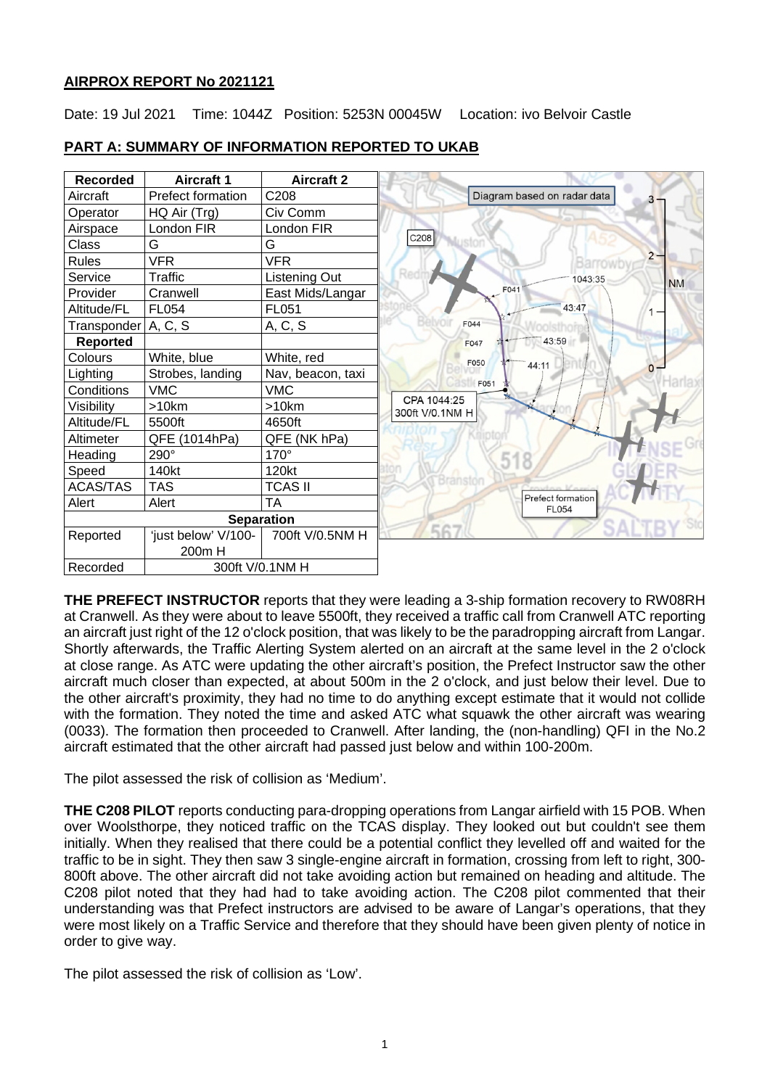# **AIRPROX REPORT No 2021121**

Date: 19 Jul 2021 Time: 1044Z Position: 5253N 00045W Location: ivo Belvoir Castle



# **PART A: SUMMARY OF INFORMATION REPORTED TO UKAB**

**THE PREFECT INSTRUCTOR** reports that they were leading a 3-ship formation recovery to RW08RH at Cranwell. As they were about to leave 5500ft, they received a traffic call from Cranwell ATC reporting an aircraft just right of the 12 o'clock position, that was likely to be the paradropping aircraft from Langar. Shortly afterwards, the Traffic Alerting System alerted on an aircraft at the same level in the 2 o'clock at close range. As ATC were updating the other aircraft's position, the Prefect Instructor saw the other aircraft much closer than expected, at about 500m in the 2 o'clock, and just below their level. Due to the other aircraft's proximity, they had no time to do anything except estimate that it would not collide with the formation. They noted the time and asked ATC what squawk the other aircraft was wearing (0033). The formation then proceeded to Cranwell. After landing, the (non-handling) QFI in the No.2 aircraft estimated that the other aircraft had passed just below and within 100-200m.

The pilot assessed the risk of collision as 'Medium'.

**THE C208 PILOT** reports conducting para-dropping operations from Langar airfield with 15 POB. When over Woolsthorpe, they noticed traffic on the TCAS display. They looked out but couldn't see them initially. When they realised that there could be a potential conflict they levelled off and waited for the traffic to be in sight. They then saw 3 single-engine aircraft in formation, crossing from left to right, 300- 800ft above. The other aircraft did not take avoiding action but remained on heading and altitude. The C208 pilot noted that they had had to take avoiding action. The C208 pilot commented that their understanding was that Prefect instructors are advised to be aware of Langar's operations, that they were most likely on a Traffic Service and therefore that they should have been given plenty of notice in order to give way.

The pilot assessed the risk of collision as 'Low'.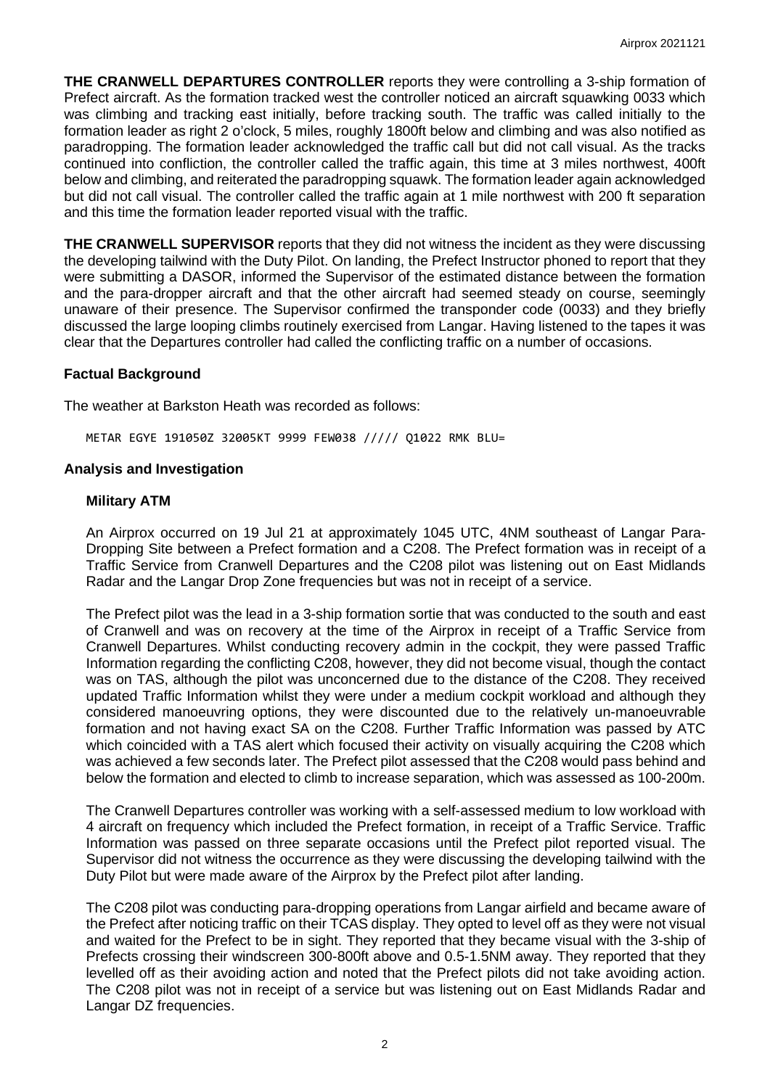**THE CRANWELL DEPARTURES CONTROLLER** reports they were controlling a 3-ship formation of Prefect aircraft. As the formation tracked west the controller noticed an aircraft squawking 0033 which was climbing and tracking east initially, before tracking south. The traffic was called initially to the formation leader as right 2 o'clock, 5 miles, roughly 1800ft below and climbing and was also notified as paradropping. The formation leader acknowledged the traffic call but did not call visual. As the tracks continued into confliction, the controller called the traffic again, this time at 3 miles northwest, 400ft below and climbing, and reiterated the paradropping squawk. The formation leader again acknowledged but did not call visual. The controller called the traffic again at 1 mile northwest with 200 ft separation and this time the formation leader reported visual with the traffic.

**THE CRANWELL SUPERVISOR** reports that they did not witness the incident as they were discussing the developing tailwind with the Duty Pilot. On landing, the Prefect Instructor phoned to report that they were submitting a DASOR, informed the Supervisor of the estimated distance between the formation and the para-dropper aircraft and that the other aircraft had seemed steady on course, seemingly unaware of their presence. The Supervisor confirmed the transponder code (0033) and they briefly discussed the large looping climbs routinely exercised from Langar. Having listened to the tapes it was clear that the Departures controller had called the conflicting traffic on a number of occasions.

## **Factual Background**

The weather at Barkston Heath was recorded as follows:

METAR EGYE 191050Z 32005KT 9999 FEW038 ///// Q1022 RMK BLU=

### **Analysis and Investigation**

### **Military ATM**

An Airprox occurred on 19 Jul 21 at approximately 1045 UTC, 4NM southeast of Langar Para-Dropping Site between a Prefect formation and a C208. The Prefect formation was in receipt of a Traffic Service from Cranwell Departures and the C208 pilot was listening out on East Midlands Radar and the Langar Drop Zone frequencies but was not in receipt of a service.

The Prefect pilot was the lead in a 3-ship formation sortie that was conducted to the south and east of Cranwell and was on recovery at the time of the Airprox in receipt of a Traffic Service from Cranwell Departures. Whilst conducting recovery admin in the cockpit, they were passed Traffic Information regarding the conflicting C208, however, they did not become visual, though the contact was on TAS, although the pilot was unconcerned due to the distance of the C208. They received updated Traffic Information whilst they were under a medium cockpit workload and although they considered manoeuvring options, they were discounted due to the relatively un-manoeuvrable formation and not having exact SA on the C208. Further Traffic Information was passed by ATC which coincided with a TAS alert which focused their activity on visually acquiring the C208 which was achieved a few seconds later. The Prefect pilot assessed that the C208 would pass behind and below the formation and elected to climb to increase separation, which was assessed as 100-200m.

The Cranwell Departures controller was working with a self-assessed medium to low workload with 4 aircraft on frequency which included the Prefect formation, in receipt of a Traffic Service. Traffic Information was passed on three separate occasions until the Prefect pilot reported visual. The Supervisor did not witness the occurrence as they were discussing the developing tailwind with the Duty Pilot but were made aware of the Airprox by the Prefect pilot after landing.

The C208 pilot was conducting para-dropping operations from Langar airfield and became aware of the Prefect after noticing traffic on their TCAS display. They opted to level off as they were not visual and waited for the Prefect to be in sight. They reported that they became visual with the 3-ship of Prefects crossing their windscreen 300-800ft above and 0.5-1.5NM away. They reported that they levelled off as their avoiding action and noted that the Prefect pilots did not take avoiding action. The C208 pilot was not in receipt of a service but was listening out on East Midlands Radar and Langar DZ frequencies.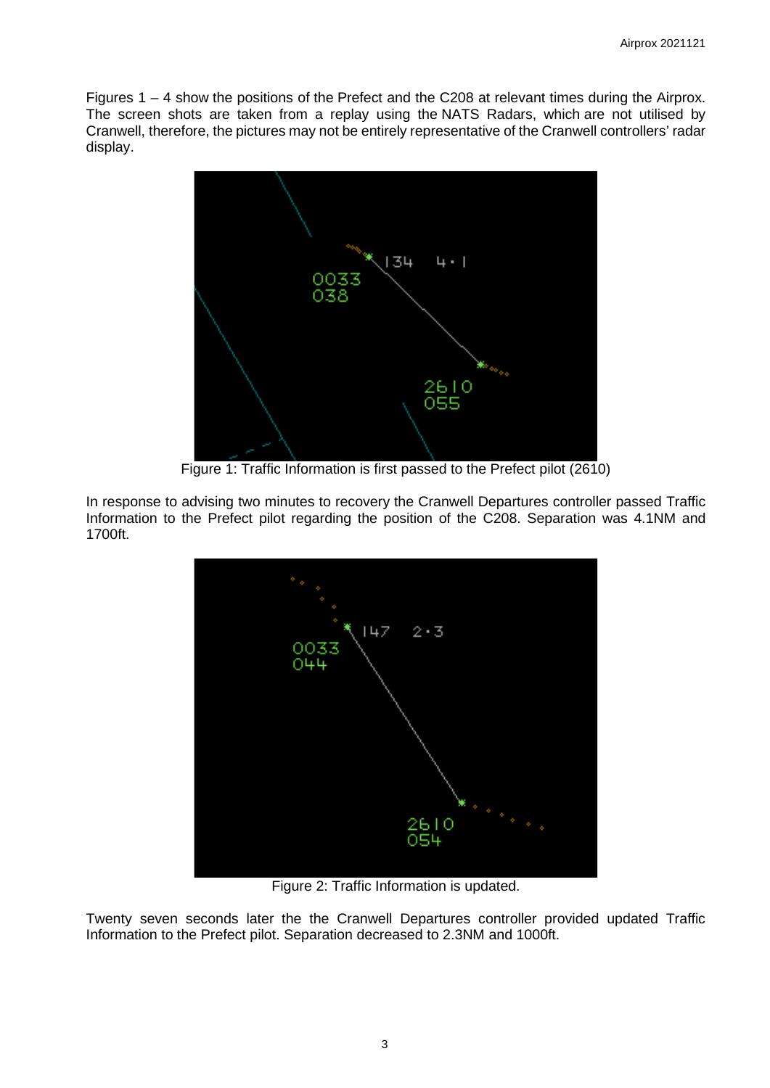Figures 1 – 4 show the positions of the Prefect and the C208 at relevant times during the Airprox. The screen shots are taken from a replay using the NATS Radars, which are not utilised by Cranwell, therefore, the pictures may not be entirely representative of the Cranwell controllers' radar display.



Figure 1: Traffic Information is first passed to the Prefect pilot (2610)

In response to advising two minutes to recovery the Cranwell Departures controller passed Traffic Information to the Prefect pilot regarding the position of the C208. Separation was 4.1NM and 1700ft.



Figure 2: Traffic Information is updated.

Twenty seven seconds later the the Cranwell Departures controller provided updated Traffic Information to the Prefect pilot. Separation decreased to 2.3NM and 1000ft.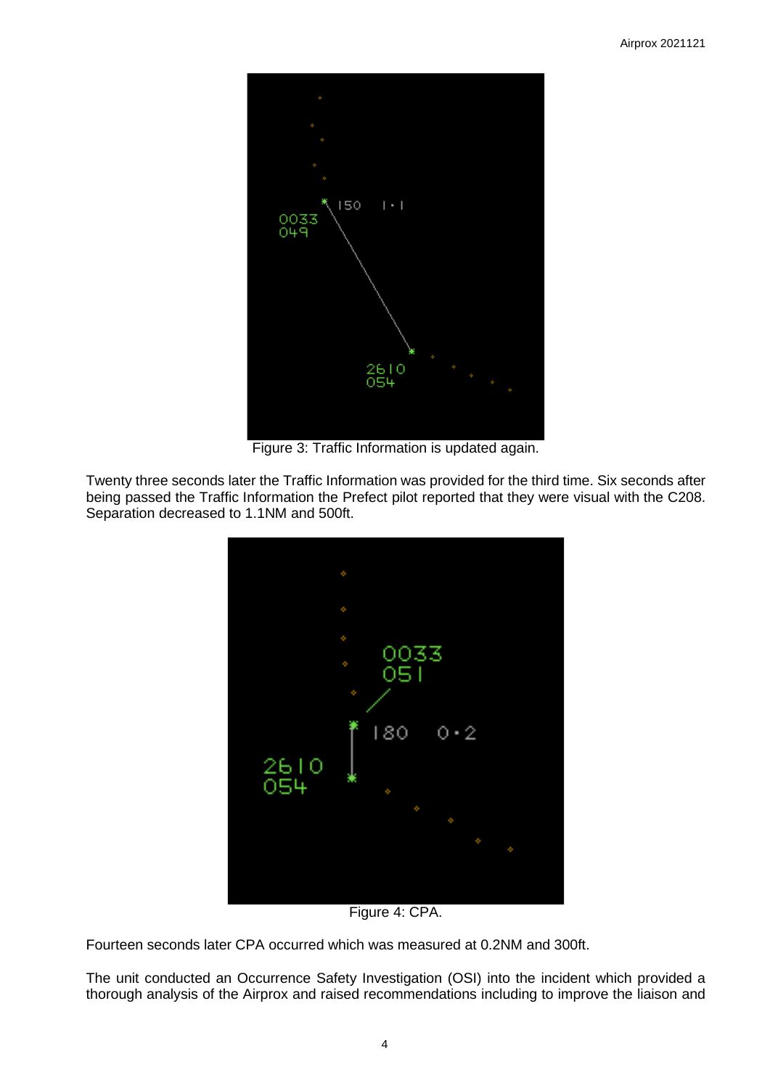

Figure 3: Traffic Information is updated again.

Twenty three seconds later the Traffic Information was provided for the third time. Six seconds after being passed the Traffic Information the Prefect pilot reported that they were visual with the C208. Separation decreased to 1.1NM and 500ft.



Figure 4: CPA.

Fourteen seconds later CPA occurred which was measured at 0.2NM and 300ft.

The unit conducted an Occurrence Safety Investigation (OSI) into the incident which provided a thorough analysis of the Airprox and raised recommendations including to improve the liaison and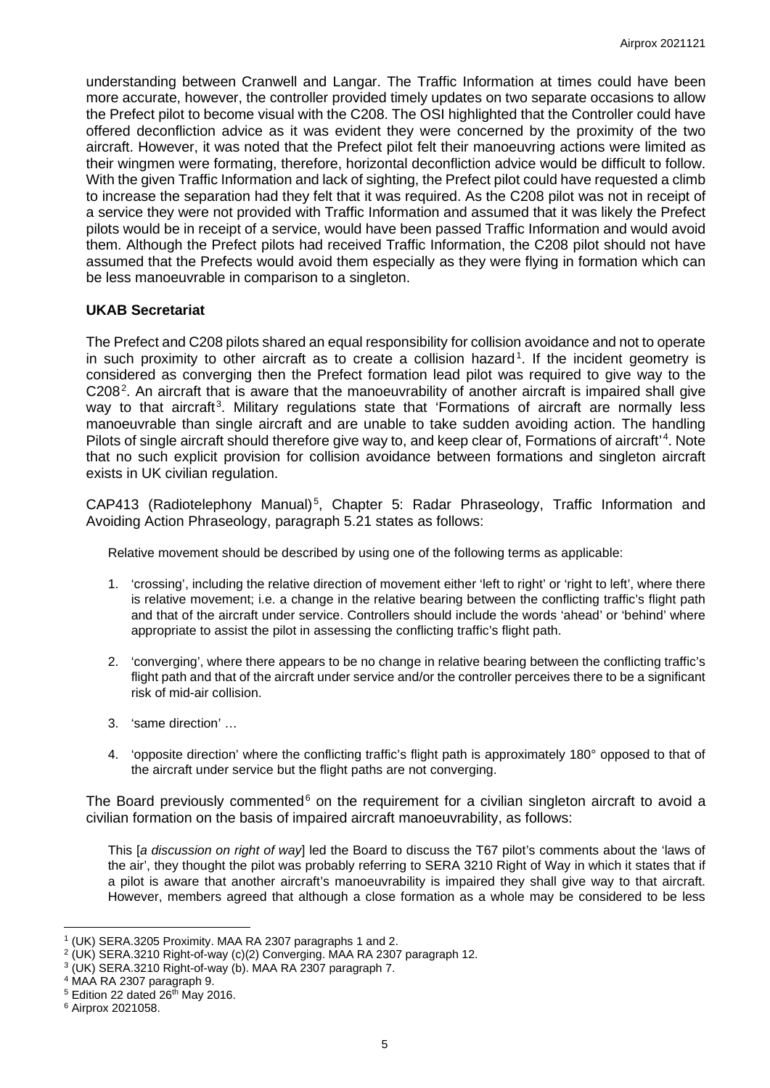understanding between Cranwell and Langar. The Traffic Information at times could have been more accurate, however, the controller provided timely updates on two separate occasions to allow the Prefect pilot to become visual with the C208. The OSI highlighted that the Controller could have offered deconfliction advice as it was evident they were concerned by the proximity of the two aircraft. However, it was noted that the Prefect pilot felt their manoeuvring actions were limited as their wingmen were formating, therefore, horizontal deconfliction advice would be difficult to follow. With the given Traffic Information and lack of sighting, the Prefect pilot could have requested a climb to increase the separation had they felt that it was required. As the C208 pilot was not in receipt of a service they were not provided with Traffic Information and assumed that it was likely the Prefect pilots would be in receipt of a service, would have been passed Traffic Information and would avoid them. Although the Prefect pilots had received Traffic Information, the C208 pilot should not have assumed that the Prefects would avoid them especially as they were flying in formation which can be less manoeuvrable in comparison to a singleton.

# **UKAB Secretariat**

The Prefect and C208 pilots shared an equal responsibility for collision avoidance and not to operate in such proximity to other aircraft as to create a collision hazard<sup>[1](#page-4-0)</sup>. If the incident geometry is considered as converging then the Prefect formation lead pilot was required to give way to the C[2](#page-4-1)08<sup>2</sup>. An aircraft that is aware that the manoeuvrability of another aircraft is impaired shall give way to that aircraft<sup>[3](#page-4-2)</sup>. Military regulations state that 'Formations of aircraft are normally less manoeuvrable than single aircraft and are unable to take sudden avoiding action. The handling Pilots of single aircraft should therefore give way to, and keep clear of, Formations of aircraft'<sup>[4](#page-4-3)</sup>. Note that no such explicit provision for collision avoidance between formations and singleton aircraft exists in UK civilian regulation.

CAP413 (Radiotelephony Manual)<sup>[5](#page-4-4)</sup>, Chapter 5: Radar Phraseology, Traffic Information and Avoiding Action Phraseology, paragraph 5.21 states as follows:

Relative movement should be described by using one of the following terms as applicable:

- 1. 'crossing', including the relative direction of movement either 'left to right' or 'right to left', where there is relative movement; i.e. a change in the relative bearing between the conflicting traffic's flight path and that of the aircraft under service. Controllers should include the words 'ahead' or 'behind' where appropriate to assist the pilot in assessing the conflicting traffic's flight path.
- 2. 'converging', where there appears to be no change in relative bearing between the conflicting traffic's flight path and that of the aircraft under service and/or the controller perceives there to be a significant risk of mid-air collision.
- 3. 'same direction' …
- 4. 'opposite direction' where the conflicting traffic's flight path is approximately 180° opposed to that of the aircraft under service but the flight paths are not converging.

The Board previously commented $6$  on the requirement for a civilian singleton aircraft to avoid a civilian formation on the basis of impaired aircraft manoeuvrability, as follows:

This [*a discussion on right of way*] led the Board to discuss the T67 pilot's comments about the 'laws of the air', they thought the pilot was probably referring to SERA 3210 Right of Way in which it states that if a pilot is aware that another aircraft's manoeuvrability is impaired they shall give way to that aircraft. However, members agreed that although a close formation as a whole may be considered to be less

<span id="page-4-0"></span><sup>1</sup> (UK) SERA.3205 Proximity. MAA RA 2307 paragraphs 1 and 2.

<span id="page-4-1"></span><sup>2</sup> (UK) SERA.3210 Right-of-way (c)(2) Converging. MAA RA 2307 paragraph 12.

<span id="page-4-2"></span><sup>&</sup>lt;sup>3</sup> (UK) SERA.3210 Right-of-way (b). MAA RA 2307 paragraph 7.

<span id="page-4-3"></span><sup>4</sup> MAA RA 2307 paragraph 9.

<span id="page-4-4"></span> $5$  Edition 22 dated 26<sup>th</sup> May 2016.

<span id="page-4-5"></span><sup>6</sup> Airprox 2021058.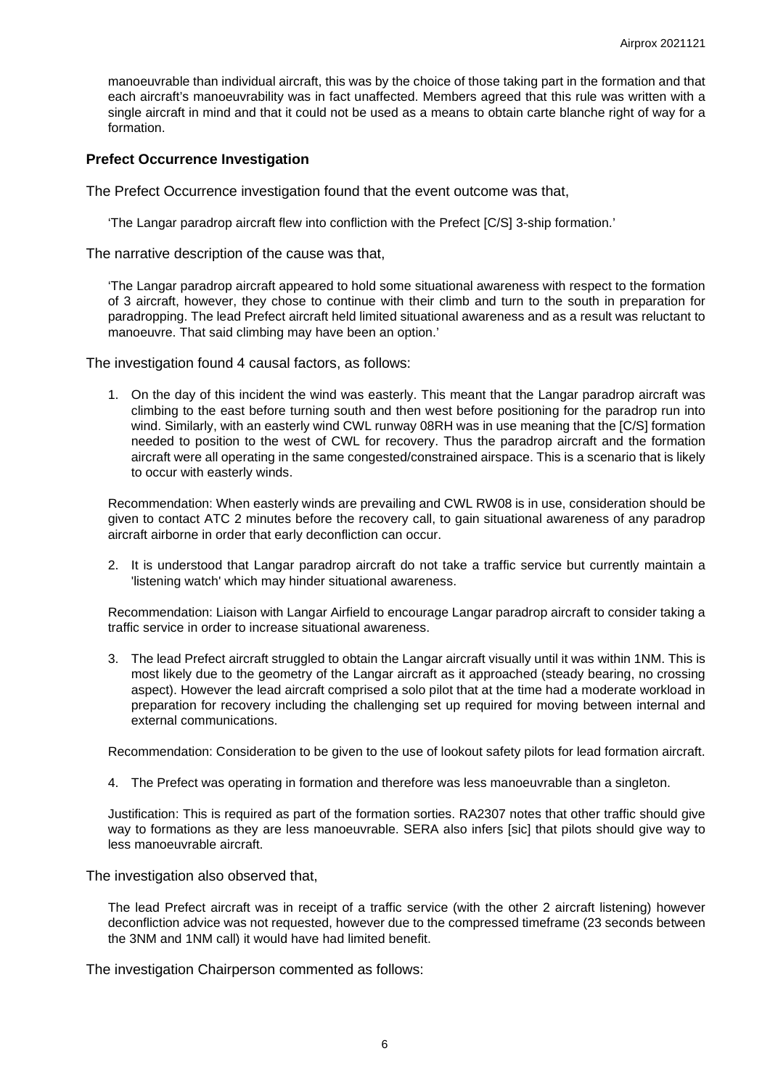manoeuvrable than individual aircraft, this was by the choice of those taking part in the formation and that each aircraft's manoeuvrability was in fact unaffected. Members agreed that this rule was written with a single aircraft in mind and that it could not be used as a means to obtain carte blanche right of way for a formation.

#### **Prefect Occurrence Investigation**

The Prefect Occurrence investigation found that the event outcome was that,

'The Langar paradrop aircraft flew into confliction with the Prefect [C/S] 3-ship formation.'

The narrative description of the cause was that,

'The Langar paradrop aircraft appeared to hold some situational awareness with respect to the formation of 3 aircraft, however, they chose to continue with their climb and turn to the south in preparation for paradropping. The lead Prefect aircraft held limited situational awareness and as a result was reluctant to manoeuvre. That said climbing may have been an option.'

The investigation found 4 causal factors, as follows:

1. On the day of this incident the wind was easterly. This meant that the Langar paradrop aircraft was climbing to the east before turning south and then west before positioning for the paradrop run into wind. Similarly, with an easterly wind CWL runway 08RH was in use meaning that the [C/S] formation needed to position to the west of CWL for recovery. Thus the paradrop aircraft and the formation aircraft were all operating in the same congested/constrained airspace. This is a scenario that is likely to occur with easterly winds.

Recommendation: When easterly winds are prevailing and CWL RW08 is in use, consideration should be given to contact ATC 2 minutes before the recovery call, to gain situational awareness of any paradrop aircraft airborne in order that early deconfliction can occur.

2. It is understood that Langar paradrop aircraft do not take a traffic service but currently maintain a 'listening watch' which may hinder situational awareness.

Recommendation: Liaison with Langar Airfield to encourage Langar paradrop aircraft to consider taking a traffic service in order to increase situational awareness.

3. The lead Prefect aircraft struggled to obtain the Langar aircraft visually until it was within 1NM. This is most likely due to the geometry of the Langar aircraft as it approached (steady bearing, no crossing aspect). However the lead aircraft comprised a solo pilot that at the time had a moderate workload in preparation for recovery including the challenging set up required for moving between internal and external communications.

Recommendation: Consideration to be given to the use of lookout safety pilots for lead formation aircraft.

4. The Prefect was operating in formation and therefore was less manoeuvrable than a singleton.

Justification: This is required as part of the formation sorties. RA2307 notes that other traffic should give way to formations as they are less manoeuvrable. SERA also infers [sic] that pilots should give way to less manoeuvrable aircraft.

The investigation also observed that,

The lead Prefect aircraft was in receipt of a traffic service (with the other 2 aircraft listening) however deconfliction advice was not requested, however due to the compressed timeframe (23 seconds between the 3NM and 1NM call) it would have had limited benefit.

The investigation Chairperson commented as follows: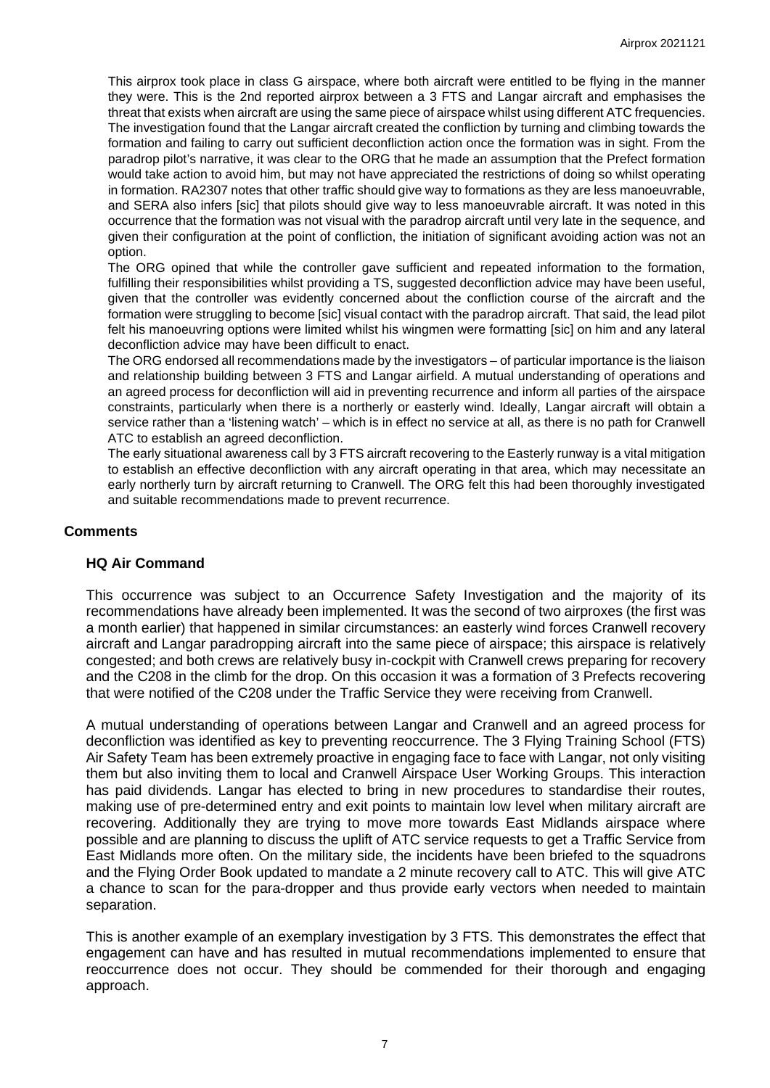This airprox took place in class G airspace, where both aircraft were entitled to be flying in the manner they were. This is the 2nd reported airprox between a 3 FTS and Langar aircraft and emphasises the threat that exists when aircraft are using the same piece of airspace whilst using different ATC frequencies. The investigation found that the Langar aircraft created the confliction by turning and climbing towards the formation and failing to carry out sufficient deconfliction action once the formation was in sight. From the paradrop pilot's narrative, it was clear to the ORG that he made an assumption that the Prefect formation would take action to avoid him, but may not have appreciated the restrictions of doing so whilst operating in formation. RA2307 notes that other traffic should give way to formations as they are less manoeuvrable, and SERA also infers [sic] that pilots should give way to less manoeuvrable aircraft. It was noted in this occurrence that the formation was not visual with the paradrop aircraft until very late in the sequence, and given their configuration at the point of confliction, the initiation of significant avoiding action was not an option.

The ORG opined that while the controller gave sufficient and repeated information to the formation, fulfilling their responsibilities whilst providing a TS, suggested deconfliction advice may have been useful, given that the controller was evidently concerned about the confliction course of the aircraft and the formation were struggling to become [sic] visual contact with the paradrop aircraft. That said, the lead pilot felt his manoeuvring options were limited whilst his wingmen were formatting [sic] on him and any lateral deconfliction advice may have been difficult to enact.

The ORG endorsed all recommendations made by the investigators – of particular importance is the liaison and relationship building between 3 FTS and Langar airfield. A mutual understanding of operations and an agreed process for deconfliction will aid in preventing recurrence and inform all parties of the airspace constraints, particularly when there is a northerly or easterly wind. Ideally, Langar aircraft will obtain a service rather than a 'listening watch' – which is in effect no service at all, as there is no path for Cranwell ATC to establish an agreed deconfliction.

The early situational awareness call by 3 FTS aircraft recovering to the Easterly runway is a vital mitigation to establish an effective deconfliction with any aircraft operating in that area, which may necessitate an early northerly turn by aircraft returning to Cranwell. The ORG felt this had been thoroughly investigated and suitable recommendations made to prevent recurrence.

# **Comments**

### **HQ Air Command**

This occurrence was subject to an Occurrence Safety Investigation and the majority of its recommendations have already been implemented. It was the second of two airproxes (the first was a month earlier) that happened in similar circumstances: an easterly wind forces Cranwell recovery aircraft and Langar paradropping aircraft into the same piece of airspace; this airspace is relatively congested; and both crews are relatively busy in-cockpit with Cranwell crews preparing for recovery and the C208 in the climb for the drop. On this occasion it was a formation of 3 Prefects recovering that were notified of the C208 under the Traffic Service they were receiving from Cranwell.

A mutual understanding of operations between Langar and Cranwell and an agreed process for deconfliction was identified as key to preventing reoccurrence. The 3 Flying Training School (FTS) Air Safety Team has been extremely proactive in engaging face to face with Langar, not only visiting them but also inviting them to local and Cranwell Airspace User Working Groups. This interaction has paid dividends. Langar has elected to bring in new procedures to standardise their routes, making use of pre-determined entry and exit points to maintain low level when military aircraft are recovering. Additionally they are trying to move more towards East Midlands airspace where possible and are planning to discuss the uplift of ATC service requests to get a Traffic Service from East Midlands more often. On the military side, the incidents have been briefed to the squadrons and the Flying Order Book updated to mandate a 2 minute recovery call to ATC. This will give ATC a chance to scan for the para-dropper and thus provide early vectors when needed to maintain separation.

This is another example of an exemplary investigation by 3 FTS. This demonstrates the effect that engagement can have and has resulted in mutual recommendations implemented to ensure that reoccurrence does not occur. They should be commended for their thorough and engaging approach.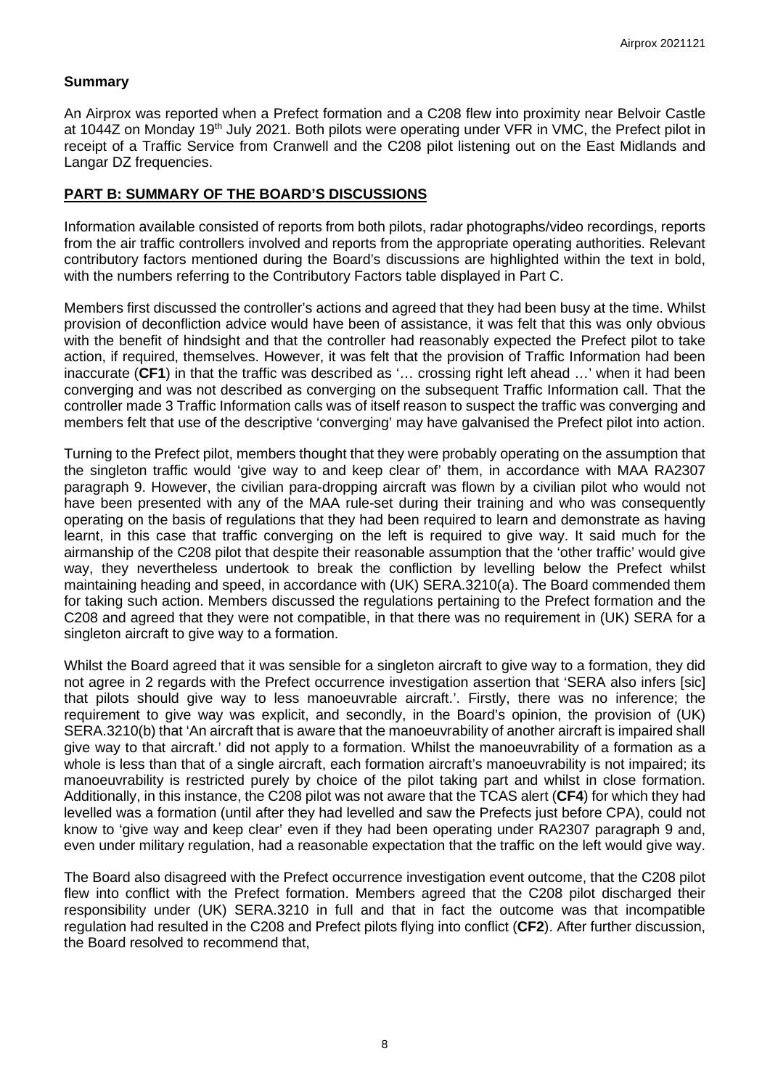## **Summary**

An Airprox was reported when a Prefect formation and a C208 flew into proximity near Belvoir Castle at 1044Z on Monday 19<sup>th</sup> July 2021. Both pilots were operating under VFR in VMC, the Prefect pilot in receipt of a Traffic Service from Cranwell and the C208 pilot listening out on the East Midlands and Langar DZ frequencies.

## **PART B: SUMMARY OF THE BOARD'S DISCUSSIONS**

Information available consisted of reports from both pilots, radar photographs/video recordings, reports from the air traffic controllers involved and reports from the appropriate operating authorities. Relevant contributory factors mentioned during the Board's discussions are highlighted within the text in bold, with the numbers referring to the Contributory Factors table displayed in Part C.

Members first discussed the controller's actions and agreed that they had been busy at the time. Whilst provision of deconfliction advice would have been of assistance, it was felt that this was only obvious with the benefit of hindsight and that the controller had reasonably expected the Prefect pilot to take action, if required, themselves. However, it was felt that the provision of Traffic Information had been inaccurate (**CF1**) in that the traffic was described as '… crossing right left ahead …' when it had been converging and was not described as converging on the subsequent Traffic Information call. That the controller made 3 Traffic Information calls was of itself reason to suspect the traffic was converging and members felt that use of the descriptive 'converging' may have galvanised the Prefect pilot into action.

Turning to the Prefect pilot, members thought that they were probably operating on the assumption that the singleton traffic would 'give way to and keep clear of' them, in accordance with MAA RA2307 paragraph 9. However, the civilian para-dropping aircraft was flown by a civilian pilot who would not have been presented with any of the MAA rule-set during their training and who was consequently operating on the basis of regulations that they had been required to learn and demonstrate as having learnt, in this case that traffic converging on the left is required to give way. It said much for the airmanship of the C208 pilot that despite their reasonable assumption that the 'other traffic' would give way, they nevertheless undertook to break the confliction by levelling below the Prefect whilst maintaining heading and speed, in accordance with (UK) SERA.3210(a). The Board commended them for taking such action. Members discussed the regulations pertaining to the Prefect formation and the C208 and agreed that they were not compatible, in that there was no requirement in (UK) SERA for a singleton aircraft to give way to a formation.

Whilst the Board agreed that it was sensible for a singleton aircraft to give way to a formation, they did not agree in 2 regards with the Prefect occurrence investigation assertion that 'SERA also infers [sic] that pilots should give way to less manoeuvrable aircraft.'. Firstly, there was no inference; the requirement to give way was explicit, and secondly, in the Board's opinion, the provision of (UK) SERA.3210(b) that 'An aircraft that is aware that the manoeuvrability of another aircraft is impaired shall give way to that aircraft.' did not apply to a formation. Whilst the manoeuvrability of a formation as a whole is less than that of a single aircraft, each formation aircraft's manoeuvrability is not impaired; its manoeuvrability is restricted purely by choice of the pilot taking part and whilst in close formation. Additionally, in this instance, the C208 pilot was not aware that the TCAS alert (**CF4**) for which they had levelled was a formation (until after they had levelled and saw the Prefects just before CPA), could not know to 'give way and keep clear' even if they had been operating under RA2307 paragraph 9 and, even under military regulation, had a reasonable expectation that the traffic on the left would give way.

The Board also disagreed with the Prefect occurrence investigation event outcome, that the C208 pilot flew into conflict with the Prefect formation. Members agreed that the C208 pilot discharged their responsibility under (UK) SERA.3210 in full and that in fact the outcome was that incompatible regulation had resulted in the C208 and Prefect pilots flying into conflict (**CF2**). After further discussion, the Board resolved to recommend that,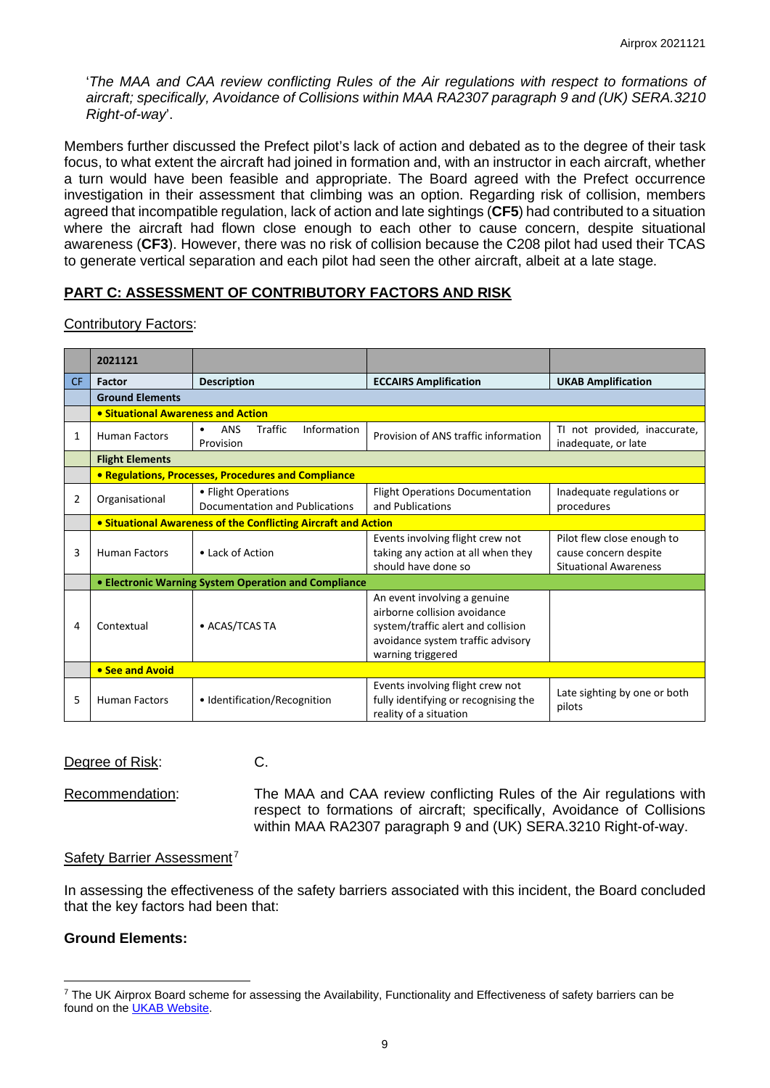'*The MAA and CAA review conflicting Rules of the Air regulations with respect to formations of aircraft; specifically, Avoidance of Collisions within MAA RA2307 paragraph 9 and (UK) SERA.3210 Right-of-way*'.

Members further discussed the Prefect pilot's lack of action and debated as to the degree of their task focus, to what extent the aircraft had joined in formation and, with an instructor in each aircraft, whether a turn would have been feasible and appropriate. The Board agreed with the Prefect occurrence investigation in their assessment that climbing was an option. Regarding risk of collision, members agreed that incompatible regulation, lack of action and late sightings (**CF5**) had contributed to a situation where the aircraft had flown close enough to each other to cause concern, despite situational awareness (**CF3**). However, there was no risk of collision because the C208 pilot had used their TCAS to generate vertical separation and each pilot had seen the other aircraft, albeit at a late stage.

# **PART C: ASSESSMENT OF CONTRIBUTORY FACTORS AND RISK**

#### Contributory Factors:

|           | 2021121                                                        |                                                                       |                                                                                                                                                              |                                                                                     |
|-----------|----------------------------------------------------------------|-----------------------------------------------------------------------|--------------------------------------------------------------------------------------------------------------------------------------------------------------|-------------------------------------------------------------------------------------|
| <b>CF</b> | Factor                                                         | <b>Description</b>                                                    | <b>ECCAIRS Amplification</b>                                                                                                                                 | <b>UKAB Amplification</b>                                                           |
|           | <b>Ground Elements</b>                                         |                                                                       |                                                                                                                                                              |                                                                                     |
|           | • Situational Awareness and Action                             |                                                                       |                                                                                                                                                              |                                                                                     |
| 1         | <b>Human Factors</b>                                           | <b>Traffic</b><br>Information<br><b>ANS</b><br>$\bullet$<br>Provision | Provision of ANS traffic information                                                                                                                         | TI not provided, inaccurate,<br>inadequate, or late                                 |
|           | <b>Flight Elements</b>                                         |                                                                       |                                                                                                                                                              |                                                                                     |
|           | • Regulations, Processes, Procedures and Compliance            |                                                                       |                                                                                                                                                              |                                                                                     |
| 2         | Organisational                                                 | • Flight Operations<br>Documentation and Publications                 | <b>Flight Operations Documentation</b><br>and Publications                                                                                                   | Inadequate regulations or<br>procedures                                             |
|           | • Situational Awareness of the Conflicting Aircraft and Action |                                                                       |                                                                                                                                                              |                                                                                     |
| 3         | <b>Human Factors</b>                                           | • Lack of Action                                                      | Events involving flight crew not<br>taking any action at all when they<br>should have done so                                                                | Pilot flew close enough to<br>cause concern despite<br><b>Situational Awareness</b> |
|           | • Electronic Warning System Operation and Compliance           |                                                                       |                                                                                                                                                              |                                                                                     |
| 4         | Contextual                                                     | • ACAS/TCAS TA                                                        | An event involving a genuine<br>airborne collision avoidance<br>system/traffic alert and collision<br>avoidance system traffic advisory<br>warning triggered |                                                                                     |
|           | • See and Avoid                                                |                                                                       |                                                                                                                                                              |                                                                                     |
| 5         | <b>Human Factors</b>                                           | • Identification/Recognition                                          | Events involving flight crew not<br>fully identifying or recognising the<br>reality of a situation                                                           | Late sighting by one or both<br>pilots                                              |

### Degree of Risk: C.

Recommendation: The MAA and CAA review conflicting Rules of the Air regulations with respect to formations of aircraft; specifically, Avoidance of Collisions within MAA RA2307 paragraph 9 and (UK) SERA.3210 Right-of-way.

### Safety Barrier Assessment<sup>[7](#page-8-0)</sup>

In assessing the effectiveness of the safety barriers associated with this incident, the Board concluded that the key factors had been that:

### **Ground Elements:**

<span id="page-8-0"></span> $7$  The UK Airprox Board scheme for assessing the Availability, Functionality and Effectiveness of safety barriers can be found on the [UKAB Website.](http://www.airproxboard.org.uk/Learn-more/Airprox-Barrier-Assessment/)